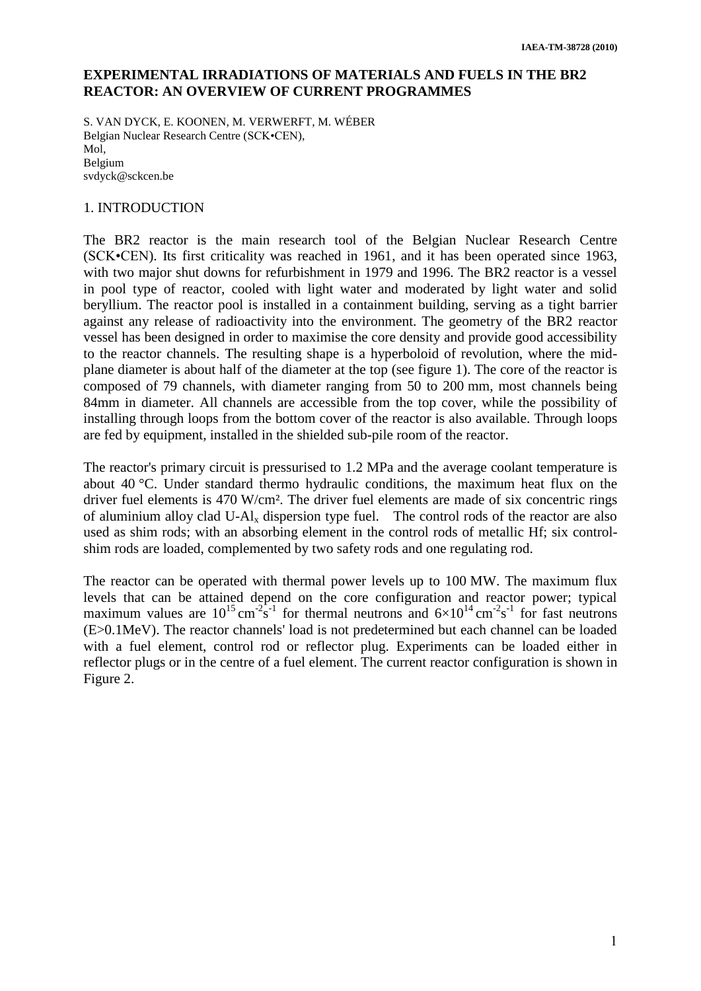## **EXPERIMENTAL IRRADIATIONS OF MATERIALS AND FUELS IN THE BR2 REACTOR: AN OVERVIEW OF CURRENT PROGRAMMES**

S. VAN DYCK, E. KOONEN, M. VERWERFT, M. WÉBER Belgian Nuclear Research Centre (SCK•CEN), Mol, Belgium svdyck@sckcen.be

### 1. INTRODUCTION

The BR2 reactor is the main research tool of the Belgian Nuclear Research Centre (SCK•CEN). Its first criticality was reached in 1961, and it has been operated since 1963, with two major shut downs for refurbishment in 1979 and 1996. The BR2 reactor is a vessel in pool type of reactor, cooled with light water and moderated by light water and solid beryllium. The reactor pool is installed in a containment building, serving as a tight barrier against any release of radioactivity into the environment. The geometry of the BR2 reactor vessel has been designed in order to maximise the core density and provide good accessibility to the reactor channels. The resulting shape is a hyperboloid of revolution, where the midplane diameter is about half of the diameter at the top (see figure 1). The core of the reactor is composed of 79 channels, with diameter ranging from 50 to 200 mm, most channels being 84mm in diameter. All channels are accessible from the top cover, while the possibility of installing through loops from the bottom cover of the reactor is also available. Through loops are fed by equipment, installed in the shielded sub-pile room of the reactor.

The reactor's primary circuit is pressurised to 1.2 MPa and the average coolant temperature is about 40 °C. Under standard thermo hydraulic conditions, the maximum heat flux on the driver fuel elements is 470 W/cm². The driver fuel elements are made of six concentric rings of aluminium alloy clad U- $\text{Al}_x$  dispersion type fuel. The control rods of the reactor are also used as shim rods; with an absorbing element in the control rods of metallic Hf; six controlshim rods are loaded, complemented by two safety rods and one regulating rod.

The reactor can be operated with thermal power levels up to 100 MW. The maximum flux levels that can be attained depend on the core configuration and reactor power; typical maximum values are  $10^{15}$  cm<sup>-2</sup>s<sup>-1</sup> for thermal neutrons and  $6\times10^{14}$  cm<sup>-2</sup>s<sup>-1</sup> for fast neutrons (E>0.1MeV). The reactor channels' load is not predetermined but each channel can be loaded with a fuel element, control rod or reflector plug. Experiments can be loaded either in reflector plugs or in the centre of a fuel element. The current reactor configuration is shown in Figure 2.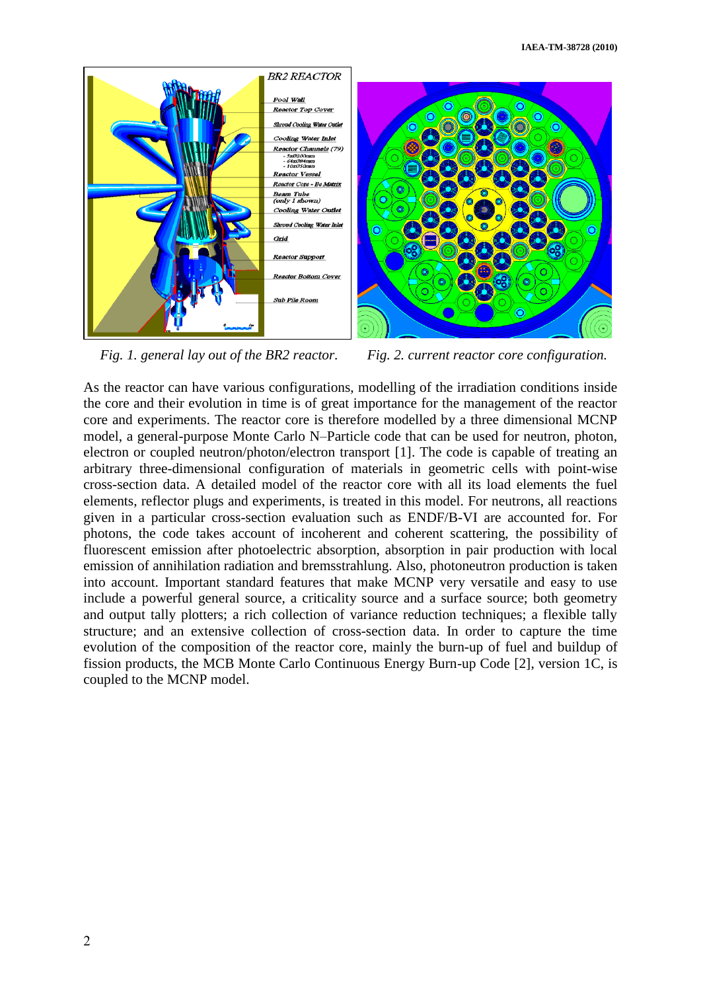

*Fig. 1. general lay out of the BR2 reactor. Fig. 2. current reactor core configuration.*

As the reactor can have various configurations, modelling of the irradiation conditions inside the core and their evolution in time is of great importance for the management of the reactor core and experiments. The reactor core is therefore modelled by a three dimensional MCNP model, a general-purpose Monte Carlo N–Particle code that can be used for neutron, photon, electron or coupled neutron/photon/electron transport [\[1\].](#page-12-0) The code is capable of treating an arbitrary three-dimensional configuration of materials in geometric cells with point-wise cross-section data. A detailed model of the reactor core with all its load elements the fuel elements, reflector plugs and experiments, is treated in this model. For neutrons, all reactions given in a particular cross-section evaluation such as ENDF/B-VI are accounted for. For photons, the code takes account of incoherent and coherent scattering, the possibility of fluorescent emission after photoelectric absorption, absorption in pair production with local emission of annihilation radiation and bremsstrahlung. Also, photoneutron production is taken into account. Important standard features that make MCNP very versatile and easy to use include a powerful general source, a criticality source and a surface source; both geometry and output tally plotters; a rich collection of variance reduction techniques; a flexible tally structure; and an extensive collection of cross-section data. In order to capture the time evolution of the composition of the reactor core, mainly the burn-up of fuel and buildup of fission products, the MCB Monte Carlo Continuous Energy Burn-up Code [\[2\],](#page-12-1) version 1C, is coupled to the MCNP model.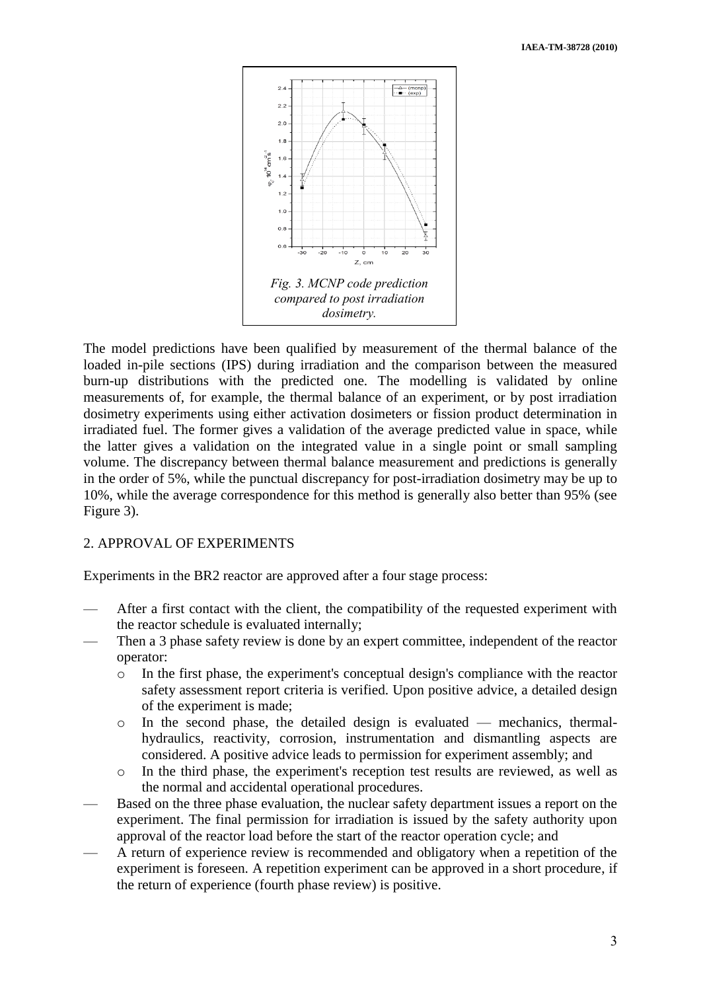

The model predictions have been qualified by measurement of the thermal balance of the loaded in-pile sections (IPS) during irradiation and the comparison between the measured burn-up distributions with the predicted one. The modelling is validated by online measurements of, for example, the thermal balance of an experiment, or by post irradiation dosimetry experiments using either activation dosimeters or fission product determination in irradiated fuel. The former gives a validation of the average predicted value in space, while the latter gives a validation on the integrated value in a single point or small sampling volume. The discrepancy between thermal balance measurement and predictions is generally in the order of 5%, while the punctual discrepancy for post-irradiation dosimetry may be up to 10%, while the average correspondence for this method is generally also better than 95% (see Figure 3).

#### 2. APPROVAL OF EXPERIMENTS

Experiments in the BR2 reactor are approved after a four stage process:

- After a first contact with the client, the compatibility of the requested experiment with the reactor schedule is evaluated internally;
- Then a 3 phase safety review is done by an expert committee, independent of the reactor operator:
	- o In the first phase, the experiment's conceptual design's compliance with the reactor safety assessment report criteria is verified. Upon positive advice, a detailed design of the experiment is made;
	- o In the second phase, the detailed design is evaluated mechanics, thermalhydraulics, reactivity, corrosion, instrumentation and dismantling aspects are considered. A positive advice leads to permission for experiment assembly; and
	- o In the third phase, the experiment's reception test results are reviewed, as well as the normal and accidental operational procedures.
- Based on the three phase evaluation, the nuclear safety department issues a report on the experiment. The final permission for irradiation is issued by the safety authority upon approval of the reactor load before the start of the reactor operation cycle; and
- A return of experience review is recommended and obligatory when a repetition of the experiment is foreseen. A repetition experiment can be approved in a short procedure, if the return of experience (fourth phase review) is positive.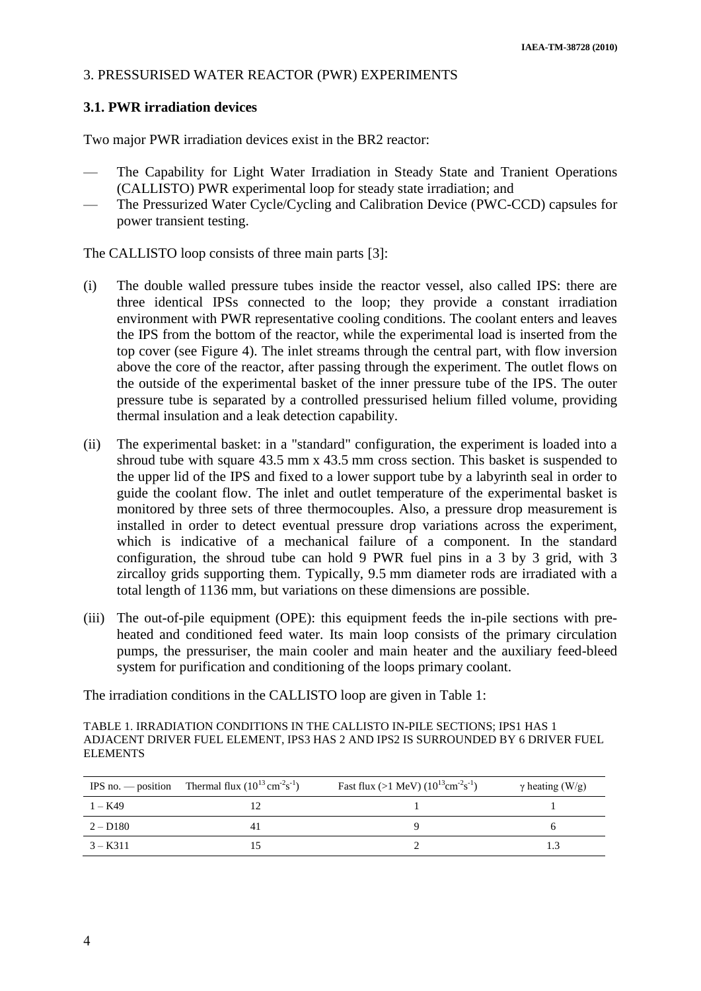#### 3. PRESSURISED WATER REACTOR (PWR) EXPERIMENTS

### **3.1. PWR irradiation devices**

Two major PWR irradiation devices exist in the BR2 reactor:

- The Capability for Light Water Irradiation in Steady State and Tranient Operations (CALLISTO) PWR experimental loop for steady state irradiation; and
- The Pressurized Water Cycle/Cycling and Calibration Device (PWC-CCD) capsules for power transient testing.

The CALLISTO loop consists of three main parts [\[3\]:](#page-12-2)

- (i) The double walled pressure tubes inside the reactor vessel, also called IPS: there are three identical IPSs connected to the loop; they provide a constant irradiation environment with PWR representative cooling conditions. The coolant enters and leaves the IPS from the bottom of the reactor, while the experimental load is inserted from the top cover (see Figure 4). The inlet streams through the central part, with flow inversion above the core of the reactor, after passing through the experiment. The outlet flows on the outside of the experimental basket of the inner pressure tube of the IPS. The outer pressure tube is separated by a controlled pressurised helium filled volume, providing thermal insulation and a leak detection capability.
- (ii) The experimental basket: in a "standard" configuration, the experiment is loaded into a shroud tube with square 43.5 mm x 43.5 mm cross section. This basket is suspended to the upper lid of the IPS and fixed to a lower support tube by a labyrinth seal in order to guide the coolant flow. The inlet and outlet temperature of the experimental basket is monitored by three sets of three thermocouples. Also, a pressure drop measurement is installed in order to detect eventual pressure drop variations across the experiment, which is indicative of a mechanical failure of a component. In the standard configuration, the shroud tube can hold 9 PWR fuel pins in a 3 by 3 grid, with 3 zircalloy grids supporting them. Typically, 9.5 mm diameter rods are irradiated with a total length of 1136 mm, but variations on these dimensions are possible.
- (iii) The out-of-pile equipment (OPE): this equipment feeds the in-pile sections with preheated and conditioned feed water. Its main loop consists of the primary circulation pumps, the pressuriser, the main cooler and main heater and the auxiliary feed-bleed system for purification and conditioning of the loops primary coolant.

The irradiation conditions in the CALLISTO loop are given in Table 1:

TABLE 1. IRRADIATION CONDITIONS IN THE CALLISTO IN-PILE SECTIONS; IPS1 HAS 1 ADJACENT DRIVER FUEL ELEMENT, IPS3 HAS 2 AND IPS2 IS SURROUNDED BY 6 DRIVER FUEL ELEMENTS

|            | IPS no. — position Thermal flux $(10^{13} \text{ cm}^{-2} \text{s}^{-1})$ | Fast flux (>1 MeV) $(10^{13} \text{cm}^{-2} \text{s}^{-1})$ | $\gamma$ heating (W/g) |
|------------|---------------------------------------------------------------------------|-------------------------------------------------------------|------------------------|
| 1 – K49    |                                                                           |                                                             |                        |
| $2 - D180$ |                                                                           |                                                             |                        |
| $3 - K311$ |                                                                           |                                                             |                        |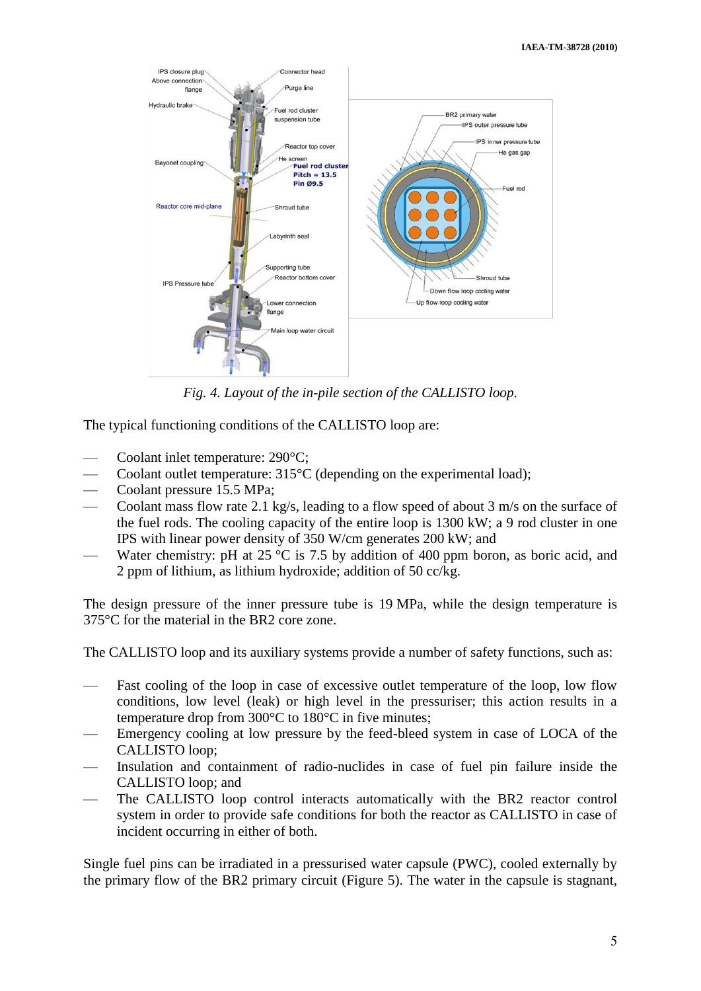

*Fig. 4. Layout of the in-pile section of the CALLISTO loop.*

The typical functioning conditions of the CALLISTO loop are:

- Coolant inlet temperature: 290°C;
- Coolant outlet temperature:  $315^{\circ}$ C (depending on the experimental load);
- Coolant pressure 15.5 MPa;
- Coolant mass flow rate 2.1 kg/s, leading to a flow speed of about 3 m/s on the surface of the fuel rods. The cooling capacity of the entire loop is 1300 kW; a 9 rod cluster in one IPS with linear power density of 350 W/cm generates 200 kW; and
- Water chemistry: pH at  $25 \text{ °C}$  is 7.5 by addition of 400 ppm boron, as boric acid, and 2 ppm of lithium, as lithium hydroxide; addition of 50 cc/kg.

The design pressure of the inner pressure tube is 19 MPa, while the design temperature is 375°C for the material in the BR2 core zone.

The CALLISTO loop and its auxiliary systems provide a number of safety functions, such as:

- Fast cooling of the loop in case of excessive outlet temperature of the loop, low flow conditions, low level (leak) or high level in the pressuriser; this action results in a temperature drop from 300°C to 180°C in five minutes;
- Emergency cooling at low pressure by the feed-bleed system in case of LOCA of the CALLISTO loop;
- Insulation and containment of radio-nuclides in case of fuel pin failure inside the CALLISTO loop; and
- The CALLISTO loop control interacts automatically with the BR2 reactor control system in order to provide safe conditions for both the reactor as CALLISTO in case of incident occurring in either of both.

Single fuel pins can be irradiated in a pressurised water capsule (PWC), cooled externally by the primary flow of the BR2 primary circuit (Figure 5). The water in the capsule is stagnant,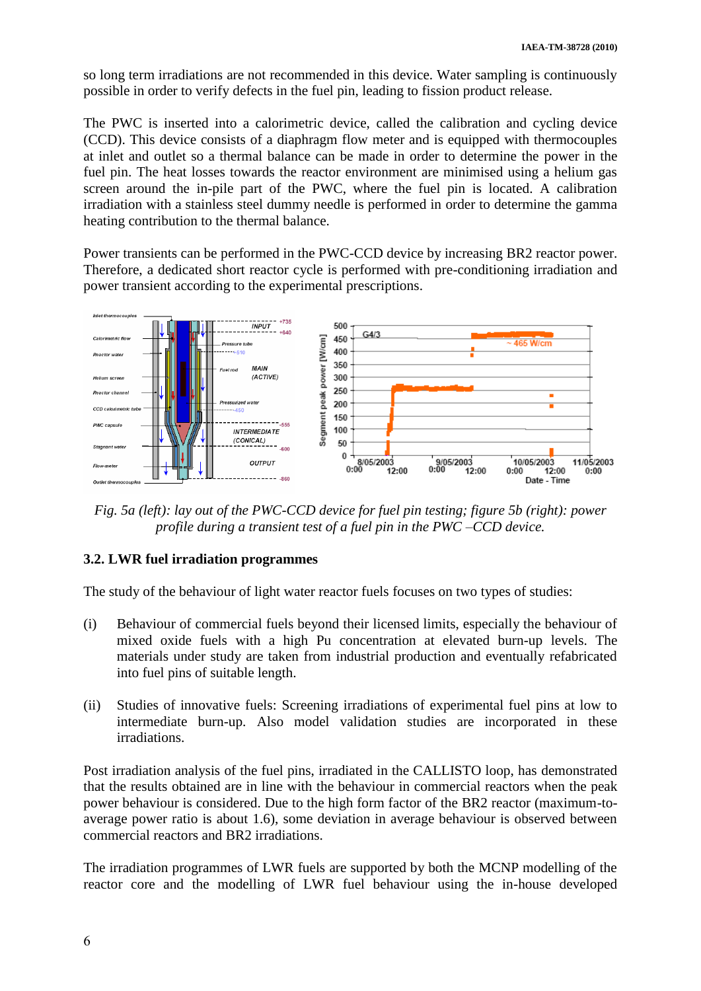so long term irradiations are not recommended in this device. Water sampling is continuously possible in order to verify defects in the fuel pin, leading to fission product release.

The PWC is inserted into a calorimetric device, called the calibration and cycling device (CCD). This device consists of a diaphragm flow meter and is equipped with thermocouples at inlet and outlet so a thermal balance can be made in order to determine the power in the fuel pin. The heat losses towards the reactor environment are minimised using a helium gas screen around the in-pile part of the PWC, where the fuel pin is located. A calibration irradiation with a stainless steel dummy needle is performed in order to determine the gamma heating contribution to the thermal balance.

Power transients can be performed in the PWC-CCD device by increasing BR2 reactor power. Therefore, a dedicated short reactor cycle is performed with pre-conditioning irradiation and power transient according to the experimental prescriptions.



*Fig. 5a (left): lay out of the PWC-CCD device for fuel pin testing; figure 5b (right): power profile during a transient test of a fuel pin in the PWC –CCD device.*

# **3.2. LWR fuel irradiation programmes**

The study of the behaviour of light water reactor fuels focuses on two types of studies:

- (i) Behaviour of commercial fuels beyond their licensed limits, especially the behaviour of mixed oxide fuels with a high Pu concentration at elevated burn-up levels. The materials under study are taken from industrial production and eventually refabricated into fuel pins of suitable length.
- (ii) Studies of innovative fuels: Screening irradiations of experimental fuel pins at low to intermediate burn-up. Also model validation studies are incorporated in these irradiations.

Post irradiation analysis of the fuel pins, irradiated in the CALLISTO loop, has demonstrated that the results obtained are in line with the behaviour in commercial reactors when the peak power behaviour is considered. Due to the high form factor of the BR2 reactor (maximum-toaverage power ratio is about 1.6), some deviation in average behaviour is observed between commercial reactors and BR2 irradiations.

The irradiation programmes of LWR fuels are supported by both the MCNP modelling of the reactor core and the modelling of LWR fuel behaviour using the in-house developed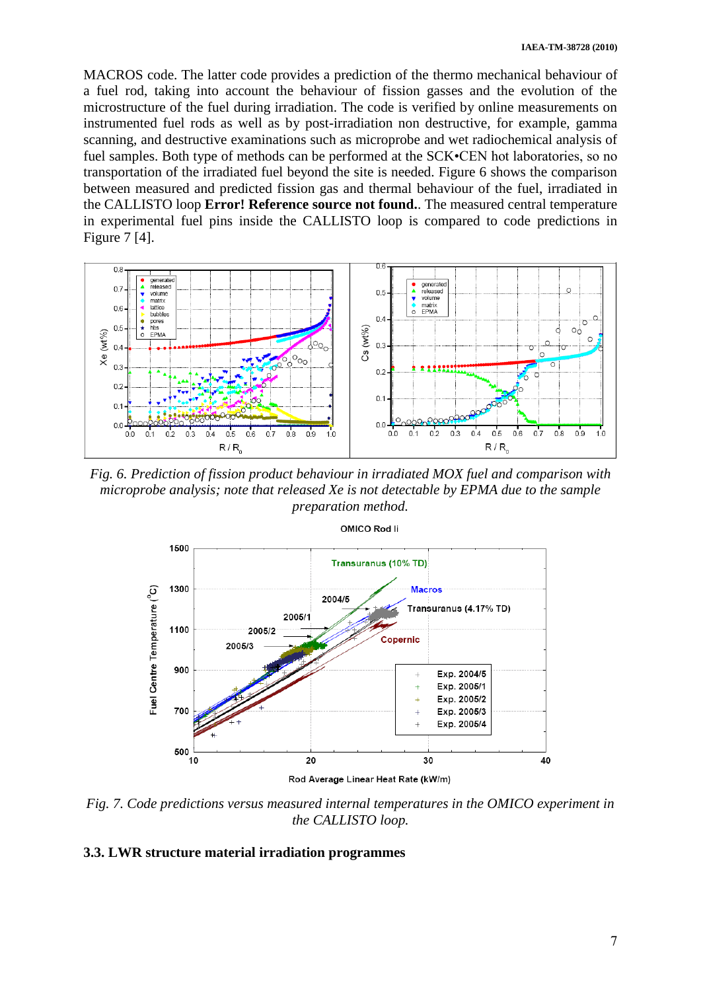MACROS code. The latter code provides a prediction of the thermo mechanical behaviour of a fuel rod, taking into account the behaviour of fission gasses and the evolution of the microstructure of the fuel during irradiation. The code is verified by online measurements on instrumented fuel rods as well as by post-irradiation non destructive, for example, gamma scanning, and destructive examinations such as microprobe and wet radiochemical analysis of fuel samples. Both type of methods can be performed at the SCK•CEN hot laboratories, so no transportation of the irradiated fuel beyond the site is needed. Figure 6 shows the comparison between measured and predicted fission gas and thermal behaviour of the fuel, irradiated in the CALLISTO loop **Error! Reference source not found.**. The measured central temperature in experimental fuel pins inside the CALLISTO loop is compared to code predictions in Figure 7 [\[4\].](#page-13-0)



*Fig. 6. Prediction of fission product behaviour in irradiated MOX fuel and comparison with microprobe analysis; note that released Xe is not detectable by EPMA due to the sample preparation method.*



OMICO Rod li

*Fig. 7. Code predictions versus measured internal temperatures in the OMICO experiment in the CALLISTO loop.*

### **3.3. LWR structure material irradiation programmes**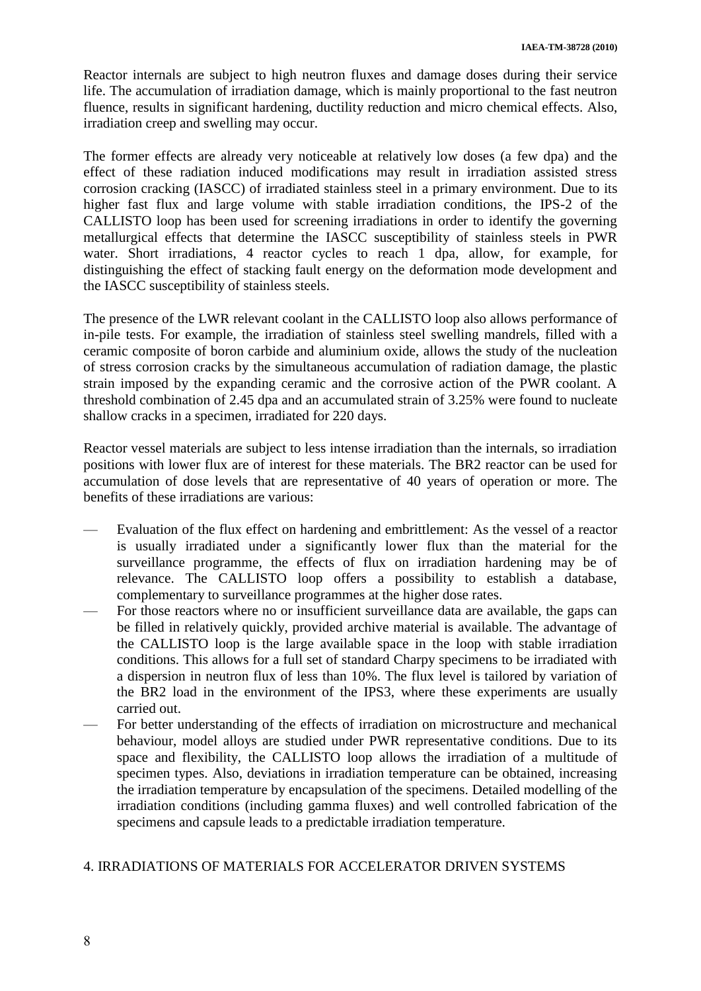Reactor internals are subject to high neutron fluxes and damage doses during their service life. The accumulation of irradiation damage, which is mainly proportional to the fast neutron fluence, results in significant hardening, ductility reduction and micro chemical effects. Also, irradiation creep and swelling may occur.

The former effects are already very noticeable at relatively low doses (a few dpa) and the effect of these radiation induced modifications may result in irradiation assisted stress corrosion cracking (IASCC) of irradiated stainless steel in a primary environment. Due to its higher fast flux and large volume with stable irradiation conditions, the IPS-2 of the CALLISTO loop has been used for screening irradiations in order to identify the governing metallurgical effects that determine the IASCC susceptibility of stainless steels in PWR water. Short irradiations, 4 reactor cycles to reach 1 dpa, allow, for example, for distinguishing the effect of stacking fault energy on the deformation mode development and the IASCC susceptibility of stainless steels.

The presence of the LWR relevant coolant in the CALLISTO loop also allows performance of in-pile tests. For example, the irradiation of stainless steel swelling mandrels, filled with a ceramic composite of boron carbide and aluminium oxide, allows the study of the nucleation of stress corrosion cracks by the simultaneous accumulation of radiation damage, the plastic strain imposed by the expanding ceramic and the corrosive action of the PWR coolant. A threshold combination of 2.45 dpa and an accumulated strain of 3.25% were found to nucleate shallow cracks in a specimen, irradiated for 220 days.

Reactor vessel materials are subject to less intense irradiation than the internals, so irradiation positions with lower flux are of interest for these materials. The BR2 reactor can be used for accumulation of dose levels that are representative of 40 years of operation or more. The benefits of these irradiations are various:

- Evaluation of the flux effect on hardening and embrittlement: As the vessel of a reactor is usually irradiated under a significantly lower flux than the material for the surveillance programme, the effects of flux on irradiation hardening may be of relevance. The CALLISTO loop offers a possibility to establish a database, complementary to surveillance programmes at the higher dose rates.
- For those reactors where no or insufficient surveillance data are available, the gaps can be filled in relatively quickly, provided archive material is available. The advantage of the CALLISTO loop is the large available space in the loop with stable irradiation conditions. This allows for a full set of standard Charpy specimens to be irradiated with a dispersion in neutron flux of less than 10%. The flux level is tailored by variation of the BR2 load in the environment of the IPS3, where these experiments are usually carried out.
- For better understanding of the effects of irradiation on microstructure and mechanical behaviour, model alloys are studied under PWR representative conditions. Due to its space and flexibility, the CALLISTO loop allows the irradiation of a multitude of specimen types. Also, deviations in irradiation temperature can be obtained, increasing the irradiation temperature by encapsulation of the specimens. Detailed modelling of the irradiation conditions (including gamma fluxes) and well controlled fabrication of the specimens and capsule leads to a predictable irradiation temperature.

# 4. IRRADIATIONS OF MATERIALS FOR ACCELERATOR DRIVEN SYSTEMS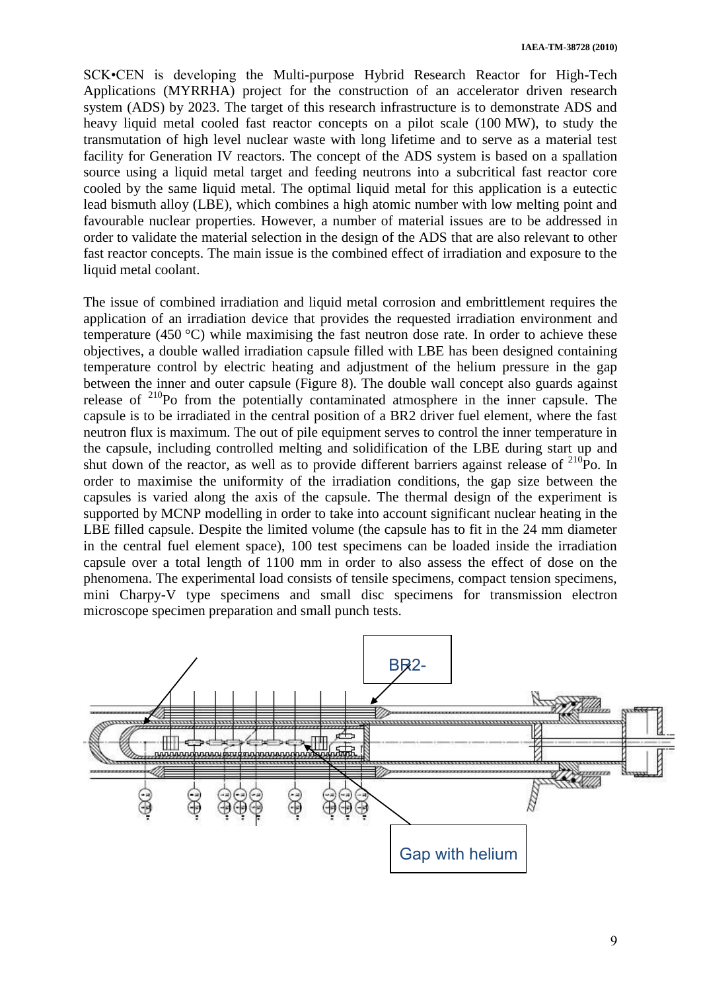SCK•CEN is developing the Multi-purpose Hybrid Research Reactor for High-Tech Applications (MYRRHA) project for the construction of an accelerator driven research system (ADS) by 2023. The target of this research infrastructure is to demonstrate ADS and heavy liquid metal cooled fast reactor concepts on a pilot scale (100 MW), to study the transmutation of high level nuclear waste with long lifetime and to serve as a material test facility for Generation IV reactors. The concept of the ADS system is based on a spallation source using a liquid metal target and feeding neutrons into a subcritical fast reactor core cooled by the same liquid metal. The optimal liquid metal for this application is a eutectic lead bismuth alloy (LBE), which combines a high atomic number with low melting point and favourable nuclear properties. However, a number of material issues are to be addressed in order to validate the material selection in the design of the ADS that are also relevant to other fast reactor concepts. The main issue is the combined effect of irradiation and exposure to the liquid metal coolant.

The issue of combined irradiation and liquid metal corrosion and embrittlement requires the application of an irradiation device that provides the requested irradiation environment and temperature (450 °C) while maximising the fast neutron dose rate. In order to achieve these objectives, a double walled irradiation capsule filled with LBE has been designed containing temperature control by electric heating and adjustment of the helium pressure in the gap between the inner and outer capsule (Figure 8). The double wall concept also guards against release of  $2^{10}$ Po from the potentially contaminated atmosphere in the inner capsule. The capsule is to be irradiated in the central position of a BR2 driver fuel element, where the fast neutron flux is maximum. The out of pile equipment serves to control the inner temperature in the capsule, including controlled melting and solidification of the LBE during start up and shut down of the reactor, as well as to provide different barriers against release of  $^{210}$ Po. In order to maximise the uniformity of the irradiation conditions, the gap size between the capsules is varied along the axis of the capsule. The thermal design of the experiment is supported by MCNP modelling in order to take into account significant nuclear heating in the LBE filled capsule. Despite the limited volume (the capsule has to fit in the 24 mm diameter in the central fuel element space), 100 test specimens can be loaded inside the irradiation capsule over a total length of 1100 mm in order to also assess the effect of dose on the phenomena. The experimental load consists of tensile specimens, compact tension specimens, mini Charpy-V type specimens and small disc specimens for transmission electron microscope specimen preparation and small punch tests.

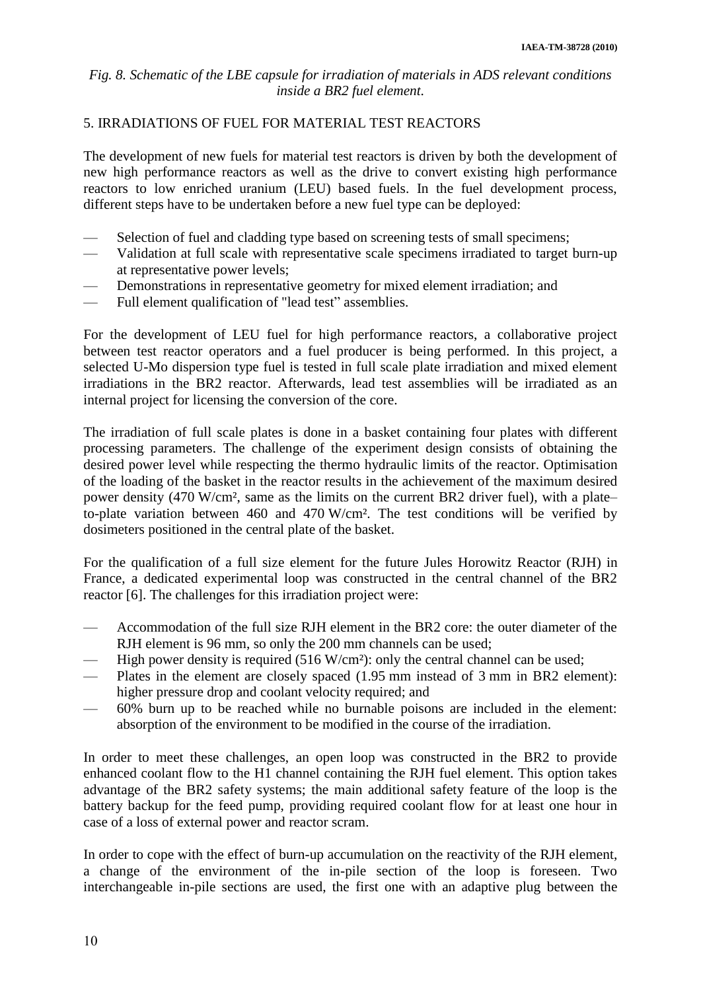## *Fig. 8. Schematic of the LBE capsule for irradiation of materials in ADS relevant conditions inside a BR2 fuel element.*

## 5. IRRADIATIONS OF FUEL FOR MATERIAL TEST REACTORS

The development of new fuels for material test reactors is driven by both the development of new high performance reactors as well as the drive to convert existing high performance reactors to low enriched uranium (LEU) based fuels. In the fuel development process, different steps have to be undertaken before a new fuel type can be deployed:

- Selection of fuel and cladding type based on screening tests of small specimens;
- Validation at full scale with representative scale specimens irradiated to target burn-up at representative power levels;
- Demonstrations in representative geometry for mixed element irradiation; and
- Full element qualification of "lead test" assemblies.

For the development of LEU fuel for high performance reactors, a collaborative project between test reactor operators and a fuel producer is being performed. In this project, a selected U-Mo dispersion type fuel is tested in full scale plate irradiation and mixed element irradiations in the BR2 reactor. Afterwards, lead test assemblies will be irradiated as an internal project for licensing the conversion of the core.

The irradiation of full scale plates is done in a basket containing four plates with different processing parameters. The challenge of the experiment design consists of obtaining the desired power level while respecting the thermo hydraulic limits of the reactor. Optimisation of the loading of the basket in the reactor results in the achievement of the maximum desired power density (470 W/cm², same as the limits on the current BR2 driver fuel), with a plate– to-plate variation between 460 and 470 W/cm². The test conditions will be verified by dosimeters positioned in the central plate of the basket.

For the qualification of a full size element for the future Jules Horowitz Reactor (RJH) in France, a dedicated experimental loop was constructed in the central channel of the BR2 reactor [\[6\].](#page-13-1) The challenges for this irradiation project were:

- Accommodation of the full size RJH element in the BR2 core: the outer diameter of the RJH element is 96 mm, so only the 200 mm channels can be used;
- High power density is required  $(516 \text{ W/cm}^2)$ : only the central channel can be used;
- Plates in the element are closely spaced (1.95 mm instead of 3 mm in BR2 element): higher pressure drop and coolant velocity required; and
- 60% burn up to be reached while no burnable poisons are included in the element: absorption of the environment to be modified in the course of the irradiation.

In order to meet these challenges, an open loop was constructed in the BR2 to provide enhanced coolant flow to the H1 channel containing the RJH fuel element. This option takes advantage of the BR2 safety systems; the main additional safety feature of the loop is the battery backup for the feed pump, providing required coolant flow for at least one hour in case of a loss of external power and reactor scram.

In order to cope with the effect of burn-up accumulation on the reactivity of the RJH element, a change of the environment of the in-pile section of the loop is foreseen. Two interchangeable in-pile sections are used, the first one with an adaptive plug between the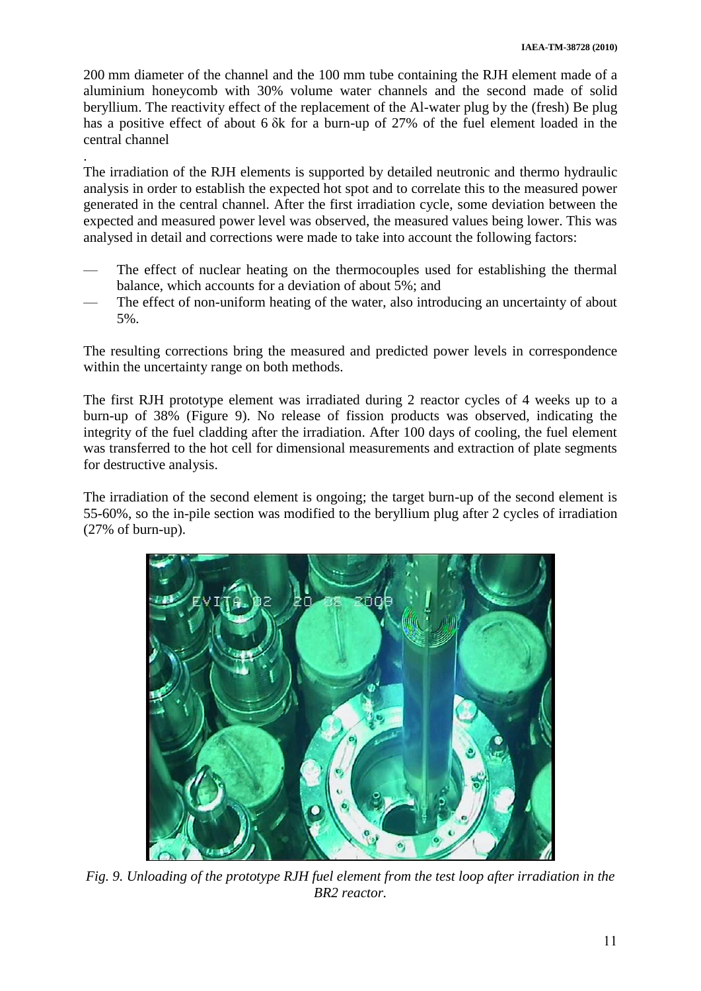200 mm diameter of the channel and the 100 mm tube containing the RJH element made of a aluminium honeycomb with 30% volume water channels and the second made of solid beryllium. The reactivity effect of the replacement of the Al-water plug by the (fresh) Be plug has a positive effect of about 6 δk for a burn-up of 27% of the fuel element loaded in the central channel

The irradiation of the RJH elements is supported by detailed neutronic and thermo hydraulic analysis in order to establish the expected hot spot and to correlate this to the measured power generated in the central channel. After the first irradiation cycle, some deviation between the expected and measured power level was observed, the measured values being lower. This was analysed in detail and corrections were made to take into account the following factors:

.

- The effect of nuclear heating on the thermocouples used for establishing the thermal balance, which accounts for a deviation of about 5%; and
- The effect of non-uniform heating of the water, also introducing an uncertainty of about 5%.

The resulting corrections bring the measured and predicted power levels in correspondence within the uncertainty range on both methods.

The first RJH prototype element was irradiated during 2 reactor cycles of 4 weeks up to a burn-up of 38% (Figure 9). No release of fission products was observed, indicating the integrity of the fuel cladding after the irradiation. After 100 days of cooling, the fuel element was transferred to the hot cell for dimensional measurements and extraction of plate segments for destructive analysis.

The irradiation of the second element is ongoing; the target burn-up of the second element is 55-60%, so the in-pile section was modified to the beryllium plug after 2 cycles of irradiation (27% of burn-up).



*Fig. 9. Unloading of the prototype RJH fuel element from the test loop after irradiation in the BR2 reactor.*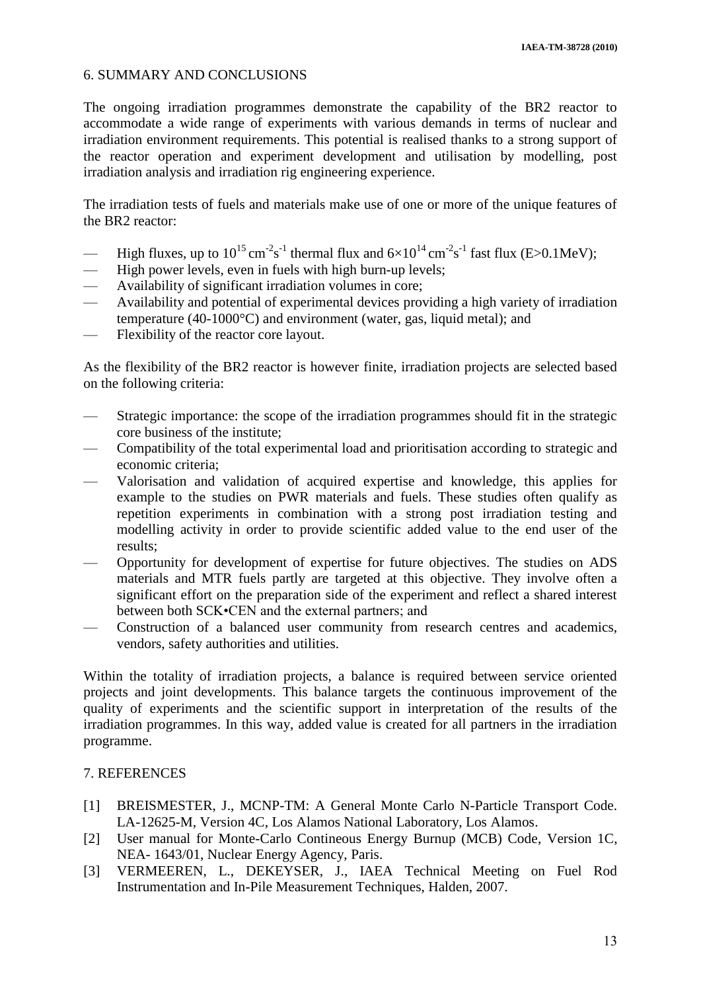## 6. SUMMARY AND CONCLUSIONS

The ongoing irradiation programmes demonstrate the capability of the BR2 reactor to accommodate a wide range of experiments with various demands in terms of nuclear and irradiation environment requirements. This potential is realised thanks to a strong support of the reactor operation and experiment development and utilisation by modelling, post irradiation analysis and irradiation rig engineering experience.

The irradiation tests of fuels and materials make use of one or more of the unique features of the BR2 reactor:

- High fluxes, up to  $10^{15}$  cm<sup>-2</sup>s<sup>-1</sup> thermal flux and  $6\times10^{14}$  cm<sup>-2</sup>s<sup>-1</sup> fast flux (E>0.1MeV);
- High power levels, even in fuels with high burn-up levels;
- Availability of significant irradiation volumes in core;
- Availability and potential of experimental devices providing a high variety of irradiation temperature (40-1000°C) and environment (water, gas, liquid metal); and
- Flexibility of the reactor core layout.

As the flexibility of the BR2 reactor is however finite, irradiation projects are selected based on the following criteria:

- Strategic importance: the scope of the irradiation programmes should fit in the strategic core business of the institute;
- Compatibility of the total experimental load and prioritisation according to strategic and economic criteria;
- Valorisation and validation of acquired expertise and knowledge, this applies for example to the studies on PWR materials and fuels. These studies often qualify as repetition experiments in combination with a strong post irradiation testing and modelling activity in order to provide scientific added value to the end user of the results;
- Opportunity for development of expertise for future objectives. The studies on ADS materials and MTR fuels partly are targeted at this objective. They involve often a significant effort on the preparation side of the experiment and reflect a shared interest between both SCK•CEN and the external partners; and
- Construction of a balanced user community from research centres and academics, vendors, safety authorities and utilities.

Within the totality of irradiation projects, a balance is required between service oriented projects and joint developments. This balance targets the continuous improvement of the quality of experiments and the scientific support in interpretation of the results of the irradiation programmes. In this way, added value is created for all partners in the irradiation programme.

## 7. REFERENCES

- <span id="page-12-0"></span>[1] BREISMESTER, J., MCNP-TM: A General Monte Carlo N-Particle Transport Code. LA-12625-M, Version 4C, Los Alamos National Laboratory, Los Alamos.
- <span id="page-12-1"></span>[2] User manual for Monte-Carlo Contineous Energy Burnup (MCB) Code, Version 1C, NEA- 1643/01, Nuclear Energy Agency, Paris.
- <span id="page-12-2"></span>[3] VERMEEREN, L., DEKEYSER, J., IAEA Technical Meeting on Fuel Rod Instrumentation and In-Pile Measurement Techniques, Halden, 2007.